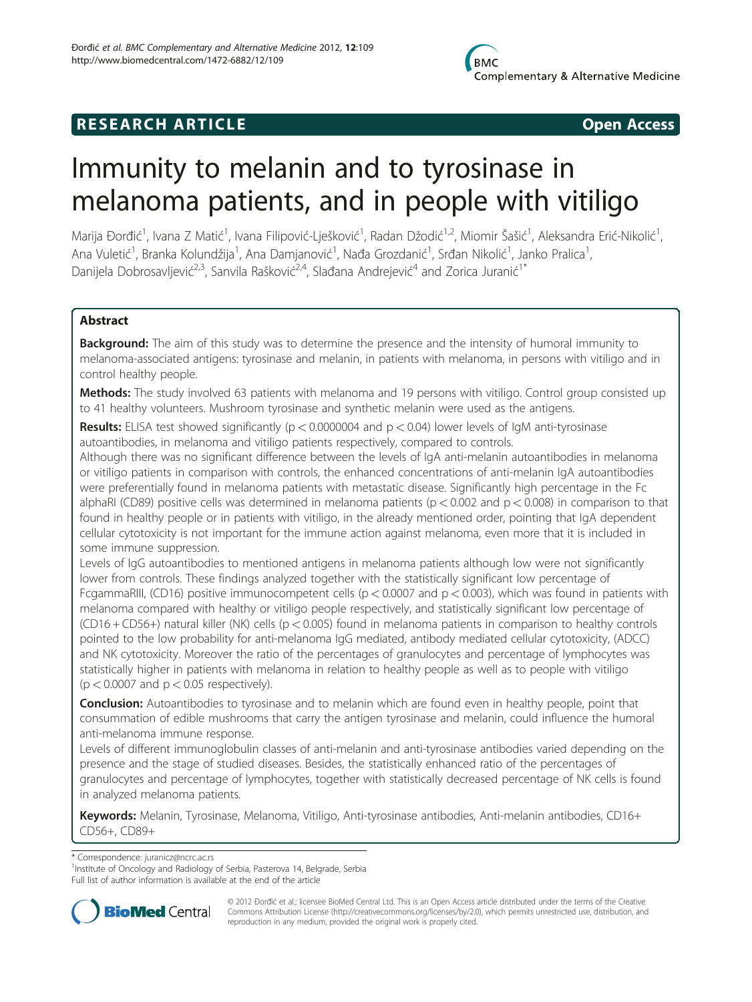# **RESEARCH ARTICLE CONSUMING THE OPEN ACCESS**

# Immunity to melanin and to tyrosinase in melanoma patients, and in people with vitiligo

Marija Đorđić<sup>1</sup>, Ivana Z Matić<sup>1</sup>, Ivana Filipović-Lješković<sup>1</sup>, Radan Džodić<sup>1,2</sup>, Miomir Šašić<sup>1</sup>, Aleksandra Erić-Nikolić<sup>1</sup> , Ana Vuletić<sup>1</sup>, Branka Kolundžija<sup>1</sup>, Ana Damjanović<sup>1</sup>, Nađa Grozdanić<sup>1</sup>, Srđan Nikolić<sup>1</sup>, Janko Pralica<sup>1</sup> , Danijela Dobrosavljević<sup>2,3</sup>, Sanvila Rašković<sup>2,4</sup>, Slađana Andrejević<sup>4</sup> and Zorica Juranić<sup>1\*</sup>

# Abstract

**Background:** The aim of this study was to determine the presence and the intensity of humoral immunity to melanoma-associated antigens: tyrosinase and melanin, in patients with melanoma, in persons with vitiligo and in control healthy people.

Methods: The study involved 63 patients with melanoma and 19 persons with vitiligo. Control group consisted up to 41 healthy volunteers. Mushroom tyrosinase and synthetic melanin were used as the antigens.

**Results:** ELISA test showed significantly ( $p < 0.0000004$  and  $p < 0.04$ ) lower levels of IgM anti-tyrosinase autoantibodies, in melanoma and vitiligo patients respectively, compared to controls.

Although there was no significant difference between the levels of IgA anti-melanin autoantibodies in melanoma or vitiligo patients in comparison with controls, the enhanced concentrations of anti-melanin IgA autoantibodies were preferentially found in melanoma patients with metastatic disease. Significantly high percentage in the Fc alphaRI (CD89) positive cells was determined in melanoma patients ( $p < 0.002$  and  $p < 0.008$ ) in comparison to that found in healthy people or in patients with vitiligo, in the already mentioned order, pointing that IgA dependent cellular cytotoxicity is not important for the immune action against melanoma, even more that it is included in some immune suppression.

Levels of IgG autoantibodies to mentioned antigens in melanoma patients although low were not significantly lower from controls. These findings analyzed together with the statistically significant low percentage of FcgammaRIII, (CD16) positive immunocompetent cells ( $p < 0.0007$  and  $p < 0.003$ ), which was found in patients with melanoma compared with healthy or vitiligo people respectively, and statistically significant low percentage of (CD16 + CD56+) natural killer (NK) cells (p < 0.005) found in melanoma patients in comparison to healthy controls pointed to the low probability for anti-melanoma IgG mediated, antibody mediated cellular cytotoxicity, (ADCC) and NK cytotoxicity. Moreover the ratio of the percentages of granulocytes and percentage of lymphocytes was statistically higher in patients with melanoma in relation to healthy people as well as to people with vitiligo  $(p < 0.0007$  and  $p < 0.05$  respectively).

**Conclusion:** Autoantibodies to tyrosinase and to melanin which are found even in healthy people, point that consummation of edible mushrooms that carry the antigen tyrosinase and melanin, could influence the humoral anti-melanoma immune response.

Levels of different immunoglobulin classes of anti-melanin and anti-tyrosinase antibodies varied depending on the presence and the stage of studied diseases. Besides, the statistically enhanced ratio of the percentages of granulocytes and percentage of lymphocytes, together with statistically decreased percentage of NK cells is found in analyzed melanoma patients.

Keywords: Melanin, Tyrosinase, Melanoma, Vitiligo, Anti-tyrosinase antibodies, Anti-melanin antibodies, CD16+ CD56+, CD89+

\* Correspondence: [juranicz@ncrc.ac.rs](mailto:juranicz@ncrc.ac.rs) <sup>1</sup>

<sup>1</sup>Institute of Oncology and Radiology of Serbia, Pasterova 14, Belgrade, Serbia Full list of author information is available at the end of the article



© 2012 Đorđić et al.; licensee BioMed Central Ltd. This is an Open Access article distributed under the terms of the Creative Commons Attribution License [\(http://creativecommons.org/licenses/by/2.0\)](http://creativecommons.org/licenses/by/2.0), which permits unrestricted use, distribution, and reproduction in any medium, provided the original work is properly cited.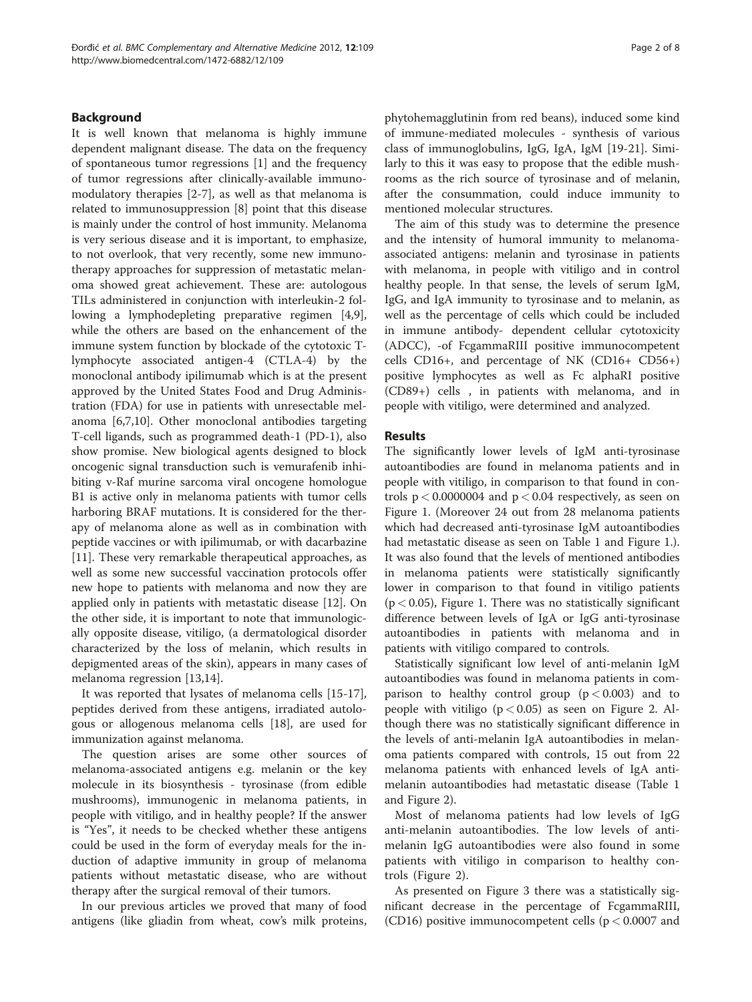# Background

It is well known that melanoma is highly immune dependent malignant disease. The data on the frequency of spontaneous tumor regressions [[1\]](#page-7-0) and the frequency of tumor regressions after clinically-available immunomodulatory therapies [\[2](#page-7-0)-[7\]](#page-7-0), as well as that melanoma is related to immunosuppression [[8\]](#page-7-0) point that this disease is mainly under the control of host immunity. Melanoma is very serious disease and it is important, to emphasize, to not overlook, that very recently, some new immunotherapy approaches for suppression of metastatic melanoma showed great achievement. These are: autologous TILs administered in conjunction with interleukin-2 following a lymphodepleting preparative regimen [\[4,9](#page-7-0)], while the others are based on the enhancement of the immune system function by blockade of the cytotoxic Tlymphocyte associated antigen-4 (CTLA-4) by the monoclonal antibody ipilimumab which is at the present approved by the United States Food and Drug Administration (FDA) for use in patients with unresectable melanoma [\[6,7,10\]](#page-7-0). Other monoclonal antibodies targeting T-cell ligands, such as programmed death-1 (PD-1), also show promise. New biological agents designed to block oncogenic signal transduction such is vemurafenib inhibiting v-Raf murine sarcoma viral oncogene homologue B1 is active only in melanoma patients with tumor cells harboring BRAF mutations. It is considered for the therapy of melanoma alone as well as in combination with peptide vaccines or with ipilimumab, or with dacarbazine [[11\]](#page-7-0). These very remarkable therapeutical approaches, as well as some new successful vaccination protocols offer new hope to patients with melanoma and now they are applied only in patients with metastatic disease [[12\]](#page-7-0). On the other side, it is important to note that immunologically opposite disease, vitiligo, (a dermatological disorder characterized by the loss of melanin, which results in depigmented areas of the skin), appears in many cases of melanoma regression [[13,14](#page-7-0)].

It was reported that lysates of melanoma cells [\[15-17](#page-7-0)], peptides derived from these antigens, irradiated autologous or allogenous melanoma cells [\[18\]](#page-7-0), are used for immunization against melanoma.

The question arises are some other sources of melanoma-associated antigens e.g. melanin or the key molecule in its biosynthesis - tyrosinase (from edible mushrooms), immunogenic in melanoma patients, in people with vitiligo, and in healthy people? If the answer is "Yes", it needs to be checked whether these antigens could be used in the form of everyday meals for the induction of adaptive immunity in group of melanoma patients without metastatic disease, who are without therapy after the surgical removal of their tumors.

In our previous articles we proved that many of food antigens (like gliadin from wheat, cow's milk proteins,

phytohemagglutinin from red beans), induced some kind of immune-mediated molecules - synthesis of various class of immunoglobulins, IgG, IgA, IgM [\[19](#page-7-0)-[21\]](#page-7-0). Similarly to this it was easy to propose that the edible mushrooms as the rich source of tyrosinase and of melanin, after the consummation, could induce immunity to mentioned molecular structures.

The aim of this study was to determine the presence and the intensity of humoral immunity to melanomaassociated antigens: melanin and tyrosinase in patients with melanoma, in people with vitiligo and in control healthy people. In that sense, the levels of serum IgM, IgG, and IgA immunity to tyrosinase and to melanin, as well as the percentage of cells which could be included in immune antibody- dependent cellular cytotoxicity (ADCC), -of FcgammaRIII positive immunocompetent cells CD16+, and percentage of NK (CD16+ CD56+) positive lymphocytes as well as Fc alphaRI positive (CD89+) cells , in patients with melanoma, and in people with vitiligo, were determined and analyzed.

#### Results

The significantly lower levels of IgM anti-tyrosinase autoantibodies are found in melanoma patients and in people with vitiligo, in comparison to that found in controls  $p < 0.0000004$  and  $p < 0.04$  respectively, as seen on Figure [1](#page-2-0). (Moreover 24 out from 28 melanoma patients which had decreased anti-tyrosinase IgM autoantibodies had metastatic disease as seen on Table [1](#page-3-0) and Figure [1](#page-2-0).). It was also found that the levels of mentioned antibodies in melanoma patients were statistically significantly lower in comparison to that found in vitiligo patients  $(p < 0.05)$ , Figure [1](#page-2-0). There was no statistically significant difference between levels of IgA or IgG anti-tyrosinase autoantibodies in patients with melanoma and in patients with vitiligo compared to controls.

Statistically significant low level of anti-melanin IgM autoantibodies was found in melanoma patients in comparison to healthy control group  $(p < 0.003)$  and to people with vitiligo ( $p < 0.05$ ) as seen on Figure [2.](#page-4-0) Although there was no statistically significant difference in the levels of anti-melanin IgA autoantibodies in melanoma patients compared with controls, 15 out from 22 melanoma patients with enhanced levels of IgA antimelanin autoantibodies had metastatic disease (Table [1](#page-3-0) and Figure [2](#page-4-0)).

Most of melanoma patients had low levels of IgG anti-melanin autoantibodies. The low levels of antimelanin IgG autoantibodies were also found in some patients with vitiligo in comparison to healthy controls (Figure [2\)](#page-4-0).

As presented on Figure [3](#page-5-0) there was a statistically significant decrease in the percentage of FcgammaRIII, (CD16) positive immunocompetent cells ( $p < 0.0007$  and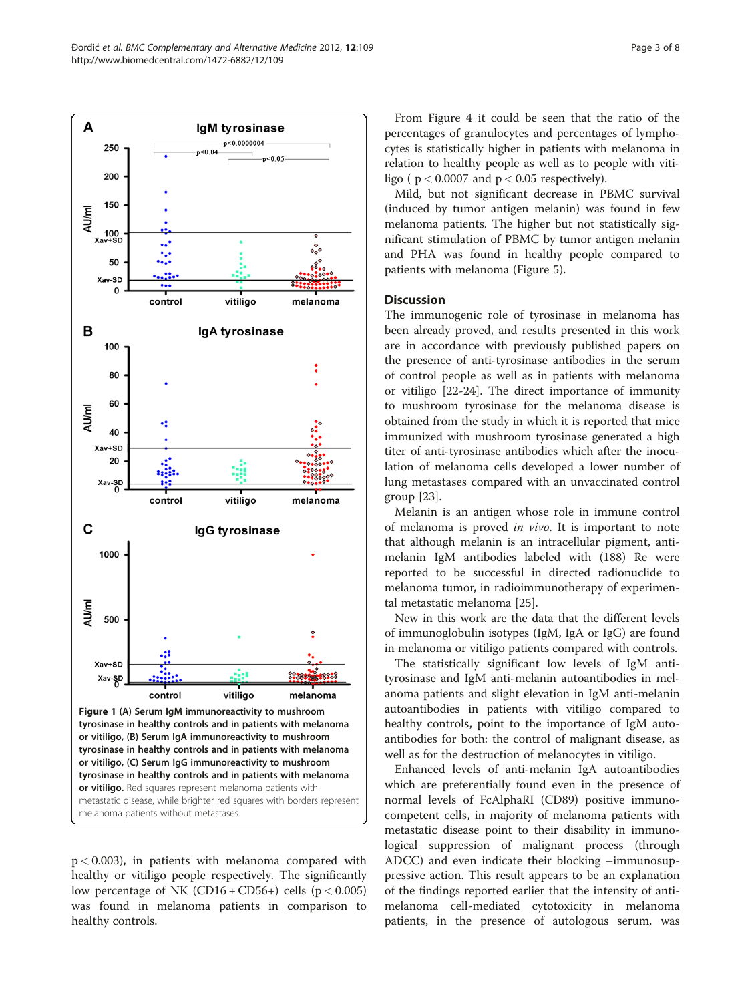<span id="page-2-0"></span>

 $p < 0.003$ ), in patients with melanoma compared with healthy or vitiligo people respectively. The significantly low percentage of NK (CD16 + CD56 +) cells ( $p < 0.005$ ) was found in melanoma patients in comparison to healthy controls.

From Figure [4](#page-5-0) it could be seen that the ratio of the percentages of granulocytes and percentages of lymphocytes is statistically higher in patients with melanoma in relation to healthy people as well as to people with vitiligo ( $p < 0.0007$  and  $p < 0.05$  respectively).

Mild, but not significant decrease in PBMC survival (induced by tumor antigen melanin) was found in few melanoma patients. The higher but not statistically significant stimulation of PBMC by tumor antigen melanin and PHA was found in healthy people compared to patients with melanoma (Figure [5](#page-6-0)).

# **Discussion**

The immunogenic role of tyrosinase in melanoma has been already proved, and results presented in this work are in accordance with previously published papers on the presence of anti-tyrosinase antibodies in the serum of control people as well as in patients with melanoma or vitiligo [[22-24\]](#page-7-0). The direct importance of immunity to mushroom tyrosinase for the melanoma disease is obtained from the study in which it is reported that mice immunized with mushroom tyrosinase generated a high titer of anti-tyrosinase antibodies which after the inoculation of melanoma cells developed a lower number of lung metastases compared with an unvaccinated control group [[23\]](#page-7-0).

Melanin is an antigen whose role in immune control of melanoma is proved in vivo. It is important to note that although melanin is an intracellular pigment, antimelanin IgM antibodies labeled with (188) Re were reported to be successful in directed radionuclide to melanoma tumor, in radioimmunotherapy of experimental metastatic melanoma [\[25\]](#page-7-0).

New in this work are the data that the different levels of immunoglobulin isotypes (IgM, IgA or IgG) are found in melanoma or vitiligo patients compared with controls.

The statistically significant low levels of IgM antityrosinase and IgM anti-melanin autoantibodies in melanoma patients and slight elevation in IgM anti-melanin autoantibodies in patients with vitiligo compared to healthy controls, point to the importance of IgM autoantibodies for both: the control of malignant disease, as well as for the destruction of melanocytes in vitiligo.

Enhanced levels of anti-melanin IgA autoantibodies which are preferentially found even in the presence of normal levels of FcAlphaRI (CD89) positive immunocompetent cells, in majority of melanoma patients with metastatic disease point to their disability in immunological suppression of malignant process (through ADCC) and even indicate their blocking –immunosuppressive action. This result appears to be an explanation of the findings reported earlier that the intensity of antimelanoma cell-mediated cytotoxicity in melanoma patients, in the presence of autologous serum, was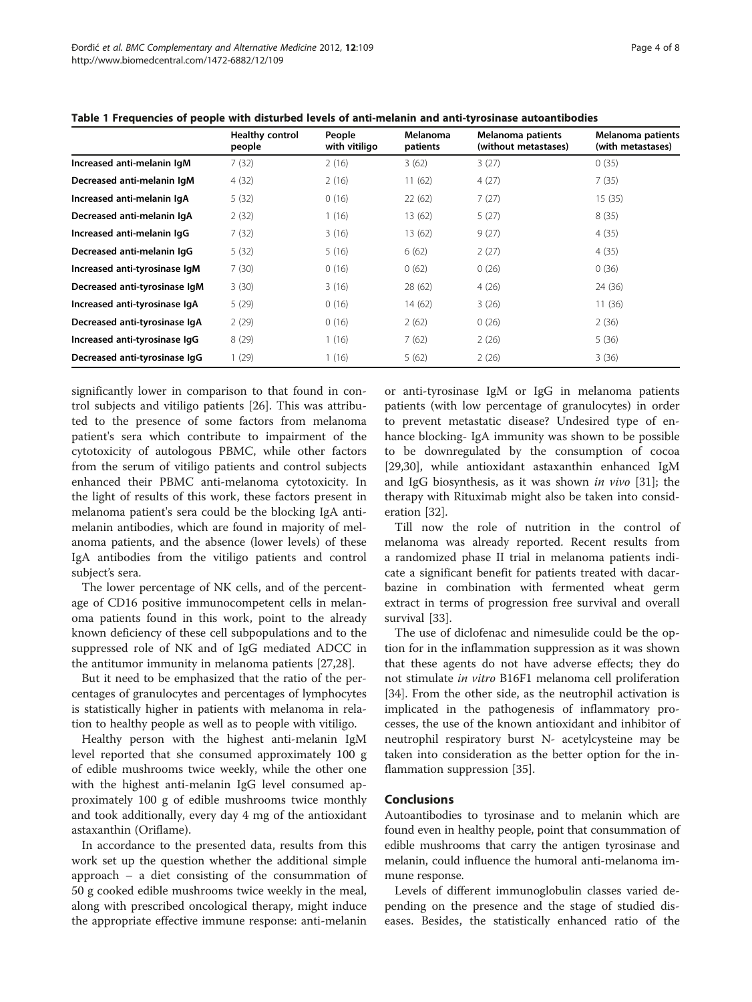|                               | <b>Healthy control</b><br>people | People<br>with vitiligo | Melanoma<br>patients | Melanoma patients<br>(without metastases) | Melanoma patients<br>(with metastases) |
|-------------------------------|----------------------------------|-------------------------|----------------------|-------------------------------------------|----------------------------------------|
| Increased anti-melanin IgM    | 7(32)                            | 2(16)                   | 3(62)                | 3(27)                                     | 0(35)                                  |
| Decreased anti-melanin IqM    | 4(32)                            | 2(16)                   | 11(62)               | 4(27)                                     | 7(35)                                  |
| Increased anti-melanin IgA    | 5(32)                            | 0(16)                   | 22(62)               | 7(27)                                     | 15(35)                                 |
| Decreased anti-melanin IgA    | 2(32)                            | 1(16)                   | 13 (62)              | 5(27)                                     | 8(35)                                  |
| Increased anti-melanin IgG    | 7(32)                            | 3(16)                   | 13 (62)              | 9(27)                                     | 4(35)                                  |
| Decreased anti-melanin IgG    | 5(32)                            | 5(16)                   | 6(62)                | 2(27)                                     | 4(35)                                  |
| Increased anti-tyrosinase IqM | 7(30)                            | 0(16)                   | 0(62)                | 0(26)                                     | 0(36)                                  |
| Decreased anti-tyrosinase IgM | 3(30)                            | 3(16)                   | 28 (62)              | 4(26)                                     | 24 (36)                                |
| Increased anti-tyrosinase IgA | 5(29)                            | 0(16)                   | 14(62)               | 3(26)                                     | 11(36)                                 |
| Decreased anti-tyrosinase IgA | 2(29)                            | 0(16)                   | 2(62)                | 0(26)                                     | 2(36)                                  |
| Increased anti-tyrosinase IgG | 8(29)                            | (16)                    | 7(62)                | 2(26)                                     | 5(36)                                  |
| Decreased anti-tyrosinase IqG | 1(29)                            | (16)                    | 5(62)                | 2(26)                                     | 3(36)                                  |

<span id="page-3-0"></span>Table 1 Frequencies of people with disturbed levels of anti-melanin and anti-tyrosinase autoantibodies

significantly lower in comparison to that found in control subjects and vitiligo patients [\[26](#page-7-0)]. This was attributed to the presence of some factors from melanoma patient's sera which contribute to impairment of the cytotoxicity of autologous PBMC, while other factors from the serum of vitiligo patients and control subjects enhanced their PBMC anti-melanoma cytotoxicity. In the light of results of this work, these factors present in melanoma patient's sera could be the blocking IgA antimelanin antibodies, which are found in majority of melanoma patients, and the absence (lower levels) of these IgA antibodies from the vitiligo patients and control subject's sera.

The lower percentage of NK cells, and of the percentage of CD16 positive immunocompetent cells in melanoma patients found in this work, point to the already known deficiency of these cell subpopulations and to the suppressed role of NK and of IgG mediated ADCC in the antitumor immunity in melanoma patients [[27,28\]](#page-7-0).

But it need to be emphasized that the ratio of the percentages of granulocytes and percentages of lymphocytes is statistically higher in patients with melanoma in relation to healthy people as well as to people with vitiligo.

Healthy person with the highest anti-melanin IgM level reported that she consumed approximately 100 g of edible mushrooms twice weekly, while the other one with the highest anti-melanin IgG level consumed approximately 100 g of edible mushrooms twice monthly and took additionally, every day 4 mg of the antioxidant astaxanthin (Oriflame).

In accordance to the presented data, results from this work set up the question whether the additional simple approach – a diet consisting of the consummation of 50 g cooked edible mushrooms twice weekly in the meal, along with prescribed oncological therapy, might induce the appropriate effective immune response: anti-melanin

or anti-tyrosinase IgM or IgG in melanoma patients patients (with low percentage of granulocytes) in order to prevent metastatic disease? Undesired type of enhance blocking- IgA immunity was shown to be possible to be downregulated by the consumption of cocoa [[29,30\]](#page-7-0), while antioxidant astaxanthin enhanced IgM and IgG biosynthesis, as it was shown in vivo [\[31](#page-7-0)]; the therapy with Rituximab might also be taken into consideration [[32](#page-7-0)].

Till now the role of nutrition in the control of melanoma was already reported. Recent results from a randomized phase II trial in melanoma patients indicate a significant benefit for patients treated with dacarbazine in combination with fermented wheat germ extract in terms of progression free survival and overall survival [[33\]](#page-7-0).

The use of diclofenac and nimesulide could be the option for in the inflammation suppression as it was shown that these agents do not have adverse effects; they do not stimulate in vitro B16F1 melanoma cell proliferation [[34\]](#page-7-0). From the other side, as the neutrophil activation is implicated in the pathogenesis of inflammatory processes, the use of the known antioxidant and inhibitor of neutrophil respiratory burst N- acetylcysteine may be taken into consideration as the better option for the inflammation suppression [[35\]](#page-7-0).

# Conclusions

Autoantibodies to tyrosinase and to melanin which are found even in healthy people, point that consummation of edible mushrooms that carry the antigen tyrosinase and melanin, could influence the humoral anti-melanoma immune response.

Levels of different immunoglobulin classes varied depending on the presence and the stage of studied diseases. Besides, the statistically enhanced ratio of the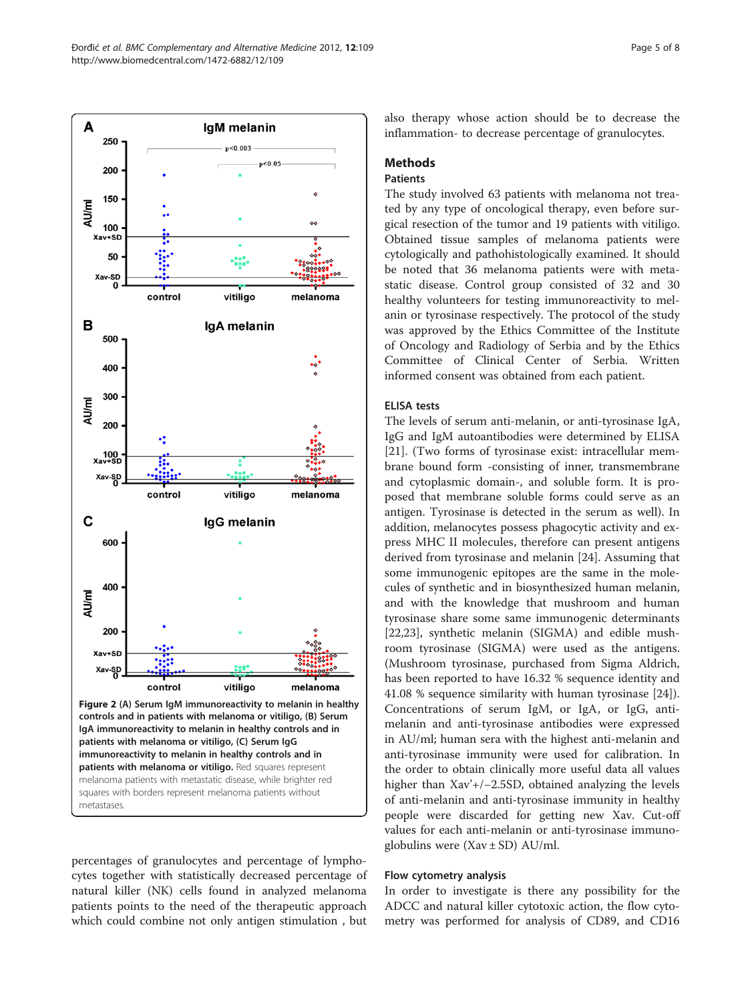<span id="page-4-0"></span>

percentages of granulocytes and percentage of lymphocytes together with statistically decreased percentage of natural killer (NK) cells found in analyzed melanoma patients points to the need of the therapeutic approach which could combine not only antigen stimulation , but

also therapy whose action should be to decrease the inflammation- to decrease percentage of granulocytes.

# Methods

# Patients

The study involved 63 patients with melanoma not treated by any type of oncological therapy, even before surgical resection of the tumor and 19 patients with vitiligo. Obtained tissue samples of melanoma patients were cytologically and pathohistologically examined. It should be noted that 36 melanoma patients were with metastatic disease. Control group consisted of 32 and 30 healthy volunteers for testing immunoreactivity to melanin or tyrosinase respectively. The protocol of the study was approved by the Ethics Committee of the Institute of Oncology and Radiology of Serbia and by the Ethics Committee of Clinical Center of Serbia. Written informed consent was obtained from each patient.

# ELISA tests

The levels of serum anti-melanin, or anti-tyrosinase IgA, IgG and IgM autoantibodies were determined by ELISA [[21\]](#page-7-0). (Two forms of tyrosinase exist: intracellular membrane bound form -consisting of inner, transmembrane and cytoplasmic domain-, and soluble form. It is proposed that membrane soluble forms could serve as an antigen. Tyrosinase is detected in the serum as well). In addition, melanocytes possess phagocytic activity and express MHC II molecules, therefore can present antigens derived from tyrosinase and melanin [[24\]](#page-7-0). Assuming that some immunogenic epitopes are the same in the molecules of synthetic and in biosynthesized human melanin, and with the knowledge that mushroom and human tyrosinase share some same immunogenic determinants [[22,23\]](#page-7-0), synthetic melanin (SIGMA) and edible mushroom tyrosinase (SIGMA) were used as the antigens. (Mushroom tyrosinase, purchased from Sigma Aldrich, has been reported to have 16.32 % sequence identity and 41.08 % sequence similarity with human tyrosinase [\[24](#page-7-0)]). Concentrations of serum IgM, or IgA, or IgG, antimelanin and anti-tyrosinase antibodies were expressed in AU/ml; human sera with the highest anti-melanin and anti-tyrosinase immunity were used for calibration. In the order to obtain clinically more useful data all values higher than Xav'+/−2.5SD, obtained analyzing the levels of anti-melanin and anti-tyrosinase immunity in healthy people were discarded for getting new Xav. Cut-off values for each anti-melanin or anti-tyrosinase immunoglobulins were  $(Xav \pm SD)$  AU/ml.

# Flow cytometry analysis

In order to investigate is there any possibility for the ADCC and natural killer cytotoxic action, the flow cytometry was performed for analysis of CD89, and CD16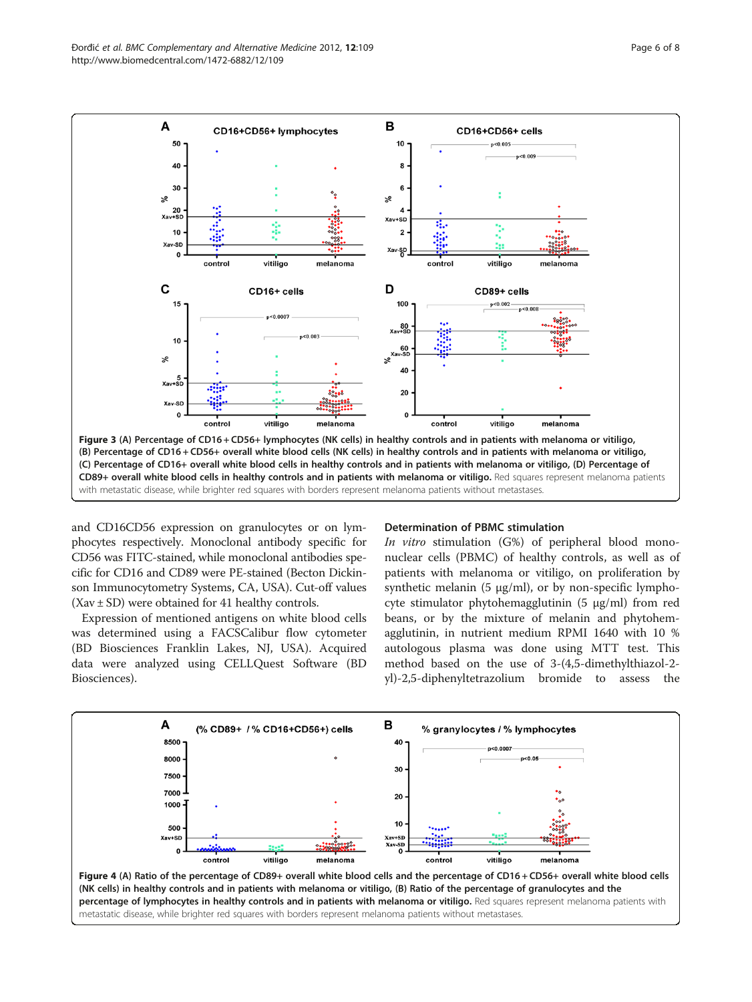<span id="page-5-0"></span>

and CD16CD56 expression on granulocytes or on lymphocytes respectively. Monoclonal antibody specific for CD56 was FITC-stained, while monoclonal antibodies specific for CD16 and CD89 were PE-stained (Becton Dickinson Immunocytometry Systems, CA, USA). Cut-off values (Xav ± SD) were obtained for 41 healthy controls.

Expression of mentioned antigens on white blood cells was determined using a FACSCalibur flow cytometer (BD Biosciences Franklin Lakes, NJ, USA). Acquired data were analyzed using CELLQuest Software (BD Biosciences).

#### Determination of PBMC stimulation

In vitro stimulation (G%) of peripheral blood mononuclear cells (PBMC) of healthy controls, as well as of patients with melanoma or vitiligo, on proliferation by synthetic melanin  $(5 \mu g/ml)$ , or by non-specific lymphocyte stimulator phytohemagglutinin (5 μg/ml) from red beans, or by the mixture of melanin and phytohemagglutinin, in nutrient medium RPMI 1640 with 10 % autologous plasma was done using MTT test. This method based on the use of 3-(4,5-dimethylthiazol-2 yl)-2,5-diphenyltetrazolium bromide to assess the

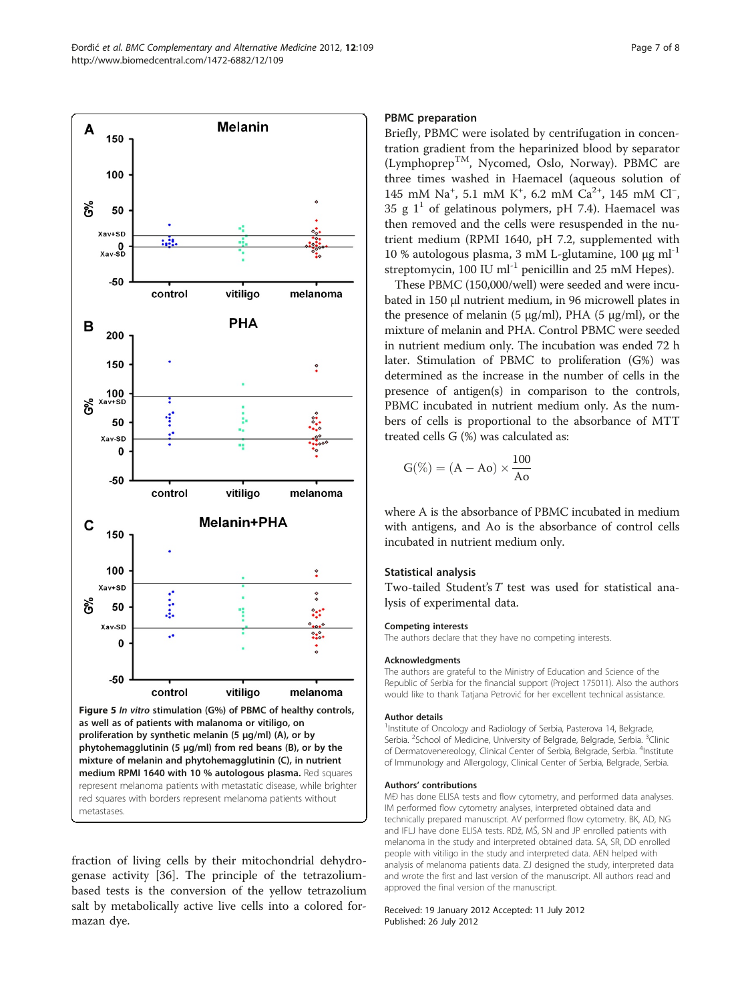<span id="page-6-0"></span>

fraction of living cells by their mitochondrial dehydrogenase activity [\[36](#page-7-0)]. The principle of the tetrazoliumbased tests is the conversion of the yellow tetrazolium salt by metabolically active live cells into a colored formazan dye.

# PBMC preparation

Briefly, PBMC were isolated by centrifugation in concentration gradient from the heparinized blood by separator (LymphoprepTM, Nycomed, Oslo, Norway). PBMC are three times washed in Haemacel (aqueous solution of 145 mM Na<sup>+</sup>, 5.1 mM K<sup>+</sup>, 6.2 mM Ca<sup>2+</sup>, 145 mM Cl<sup>−</sup>, 35 g  $1^1$  of gelatinous polymers, pH 7.4). Haemacel was then removed and the cells were resuspended in the nutrient medium (RPMI 1640, pH 7.2, supplemented with 10 % autologous plasma, 3 mM L-glutamine, 100 μg ml<sup>-1</sup> streptomycin,  $100$  IU ml<sup>-1</sup> penicillin and 25 mM Hepes).

These PBMC (150,000/well) were seeded and were incubated in 150 μl nutrient medium, in 96 microwell plates in the presence of melanin (5 μg/ml), PHA (5 μg/ml), or the mixture of melanin and PHA. Control PBMC were seeded in nutrient medium only. The incubation was ended 72 h later. Stimulation of PBMC to proliferation (G%) was determined as the increase in the number of cells in the presence of antigen(s) in comparison to the controls, PBMC incubated in nutrient medium only. As the numbers of cells is proportional to the absorbance of MTT treated cells G (%) was calculated as:

$$
G(\%) = (A - Ao) \times \frac{100}{Ao}
$$

where A is the absorbance of PBMC incubated in medium with antigens, and Ao is the absorbance of control cells incubated in nutrient medium only.

# Statistical analysis

Two-tailed Student's T test was used for statistical analysis of experimental data.

# Competing interests

The authors declare that they have no competing interests.

#### Acknowledgments

The authors are grateful to the Ministry of Education and Science of the Republic of Serbia for the financial support (Project 175011). Also the authors would like to thank Tatjana Petrović for her excellent technical assistance.

#### Author details

<sup>1</sup>Institute of Oncology and Radiology of Serbia, Pasterova 14, Belgrade Serbia. <sup>2</sup>School of Medicine, University of Belgrade, Belgrade, Serbia. <sup>3</sup>Clinic of Dermatovenereology, Clinical Center of Serbia, Belgrade, Serbia. <sup>4</sup>Institute of Immunology and Allergology, Clinical Center of Serbia, Belgrade, Serbia.

#### Authors' contributions

MĐ has done ELISA tests and flow cytometry, and performed data analyses. IM performed flow cytometry analyses, interpreted obtained data and technically prepared manuscript. AV performed flow cytometry. BK, AD, NG and IFLJ have done ELISA tests. RDž, MŠ, SN and JP enrolled patients with melanoma in the study and interpreted obtained data. SA, SR, DD enrolled people with vitiligo in the study and interpreted data. AEN helped with analysis of melanoma patients data. ZJ designed the study, interpreted data and wrote the first and last version of the manuscript. All authors read and approved the final version of the manuscript.

#### Received: 19 January 2012 Accepted: 11 July 2012 Published: 26 July 2012